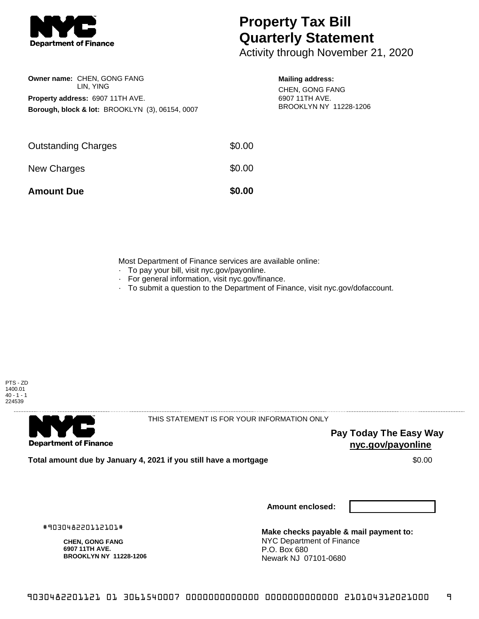

## **Property Tax Bill Quarterly Statement**

Activity through November 21, 2020

|                                                            | Owner name: CHEN, GONG FANG<br>LIN. YING |  |  |  |  |
|------------------------------------------------------------|------------------------------------------|--|--|--|--|
| Property address: 6907 11TH AVE.                           |                                          |  |  |  |  |
| <b>Borough, block &amp; lot: BROOKLYN (3), 06154, 0007</b> |                                          |  |  |  |  |

## **Mailing address:**

CHEN, GONG FANG 6907 11TH AVE. BROOKLYN NY 11228-1206

| <b>Amount Due</b>          | \$0.00 |
|----------------------------|--------|
| New Charges                | \$0.00 |
| <b>Outstanding Charges</b> | \$0.00 |

Most Department of Finance services are available online:

- · To pay your bill, visit nyc.gov/payonline.
- For general information, visit nyc.gov/finance.
- · To submit a question to the Department of Finance, visit nyc.gov/dofaccount.



. . . . . . . . . . . . . . . .

**Department of Finance** 

THIS STATEMENT IS FOR YOUR INFORMATION ONLY

**Pay Today The Easy Way nyc.gov/payonline**

**Total amount due by January 4, 2021 if you still have a mortgage**  $$0.00$ 

**Amount enclosed:**

#903048220112101#

**CHEN, GONG FANG 6907 11TH AVE. BROOKLYN NY 11228-1206**

**Make checks payable & mail payment to:** NYC Department of Finance P.O. Box 680 Newark NJ 07101-0680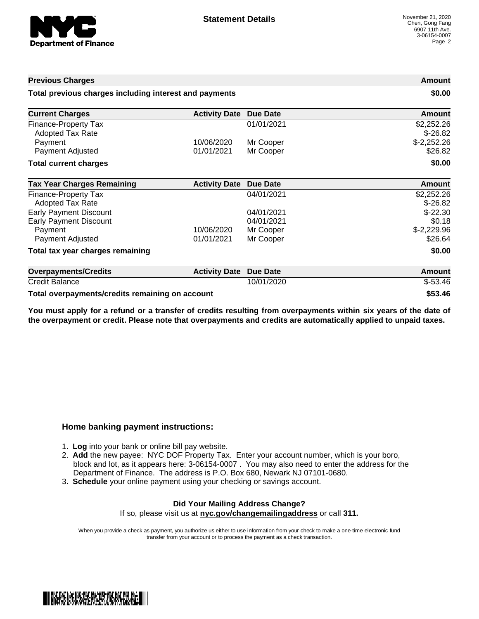

| <b>Previous Charges</b><br>Total previous charges including interest and payments |                      |                 | Amount<br>\$0.00        |
|-----------------------------------------------------------------------------------|----------------------|-----------------|-------------------------|
|                                                                                   |                      |                 |                         |
| Finance-Property Tax<br>Adopted Tax Rate                                          |                      | 01/01/2021      | \$2,252.26<br>$$-26.82$ |
| Payment                                                                           | 10/06/2020           | Mr Cooper       | $$-2,252.26$            |
| Payment Adjusted                                                                  | 01/01/2021           | Mr Cooper       | \$26.82                 |
| <b>Total current charges</b>                                                      |                      |                 | \$0.00                  |
| <b>Tax Year Charges Remaining</b>                                                 | <b>Activity Date</b> | <b>Due Date</b> | <b>Amount</b>           |
| Finance-Property Tax<br>Adopted Tax Rate                                          |                      | 04/01/2021      | \$2,252.26<br>$$-26.82$ |
| <b>Early Payment Discount</b>                                                     |                      | 04/01/2021      | $$-22.30$               |
| <b>Early Payment Discount</b>                                                     |                      | 04/01/2021      | \$0.18                  |
| Payment                                                                           | 10/06/2020           | Mr Cooper       | $$-2,229.96$            |
| Payment Adjusted                                                                  | 01/01/2021           | Mr Cooper       | \$26.64                 |
| Total tax year charges remaining                                                  |                      |                 | \$0.00                  |
| <b>Overpayments/Credits</b>                                                       | <b>Activity Date</b> | <b>Due Date</b> | <b>Amount</b>           |
| <b>Credit Balance</b>                                                             |                      | 10/01/2020      | $$-53.46$               |
| Total overpayments/credits remaining on account                                   |                      |                 | \$53.46                 |

You must apply for a refund or a transfer of credits resulting from overpayments within six years of the date of **the overpayment or credit. Please note that overpayments and credits are automatically applied to unpaid taxes.**

## **Home banking payment instructions:**

- 1. **Log** into your bank or online bill pay website.
- 2. **Add** the new payee: NYC DOF Property Tax. Enter your account number, which is your boro, block and lot, as it appears here: 3-06154-0007 . You may also need to enter the address for the Department of Finance. The address is P.O. Box 680, Newark NJ 07101-0680.
- 3. **Schedule** your online payment using your checking or savings account.

## **Did Your Mailing Address Change?** If so, please visit us at **nyc.gov/changemailingaddress** or call **311.**

When you provide a check as payment, you authorize us either to use information from your check to make a one-time electronic fund transfer from your account or to process the payment as a check transaction.